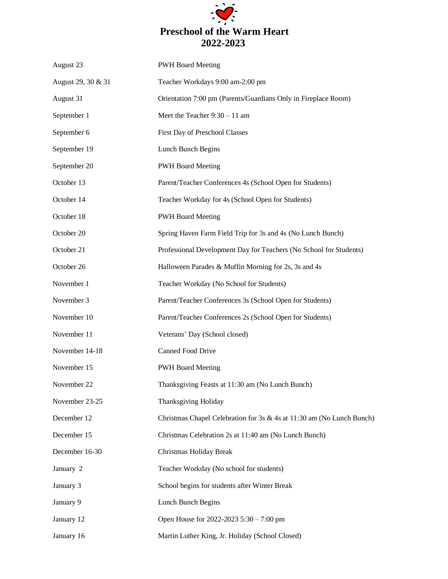

| August 23          | <b>PWH Board Meeting</b>                                              |
|--------------------|-----------------------------------------------------------------------|
| August 29, 30 & 31 | Teacher Workdays 9:00 am-2:00 pm                                      |
| August 31          | Orientation 7:00 pm (Parents/Guardians Only in Fireplace Room)        |
| September 1        | Meet the Teacher $9:30 - 11$ am                                       |
| September 6        | First Day of Preschool Classes                                        |
| September 19       | Lunch Bunch Begins                                                    |
| September 20       | <b>PWH Board Meeting</b>                                              |
| October 13         | Parent/Teacher Conferences 4s (School Open for Students)              |
| October 14         | Teacher Workday for 4s (School Open for Students)                     |
| October 18         | <b>PWH Board Meeting</b>                                              |
| October 20         | Spring Haven Farm Field Trip for 3s and 4s (No Lunch Bunch)           |
| October 21         | Professional Development Day for Teachers (No School for Students)    |
| October 26         | Halloween Parades & Muffin Morning for 2s, 3s and 4s                  |
| November 1         | Teacher Workday (No School for Students)                              |
| November 3         | Parent/Teacher Conferences 3s (School Open for Students)              |
| November 10        | Parent/Teacher Conferences 2s (School Open for Students)              |
| November 11        | Veterans' Day (School closed)                                         |
| November 14-18     | <b>Canned Food Drive</b>                                              |
| November 15        | <b>PWH Board Meeting</b>                                              |
| November 22        | Thanksgiving Feasts at 11:30 am (No Lunch Bunch)                      |
| November 23-25     | Thanksgiving Holiday                                                  |
| December 12        | Christmas Chapel Celebration for 3s & 4s at 11:30 am (No Lunch Bunch) |
| December 15        | Christmas Celebration 2s at 11:40 am (No Lunch Bunch)                 |
| December 16-30     | Christmas Holiday Break                                               |
| January 2          | Teacher Workday (No school for students)                              |
| January 3          | School begins for students after Winter Break                         |
| January 9          | Lunch Bunch Begins                                                    |
| January 12         | Open House for 2022-2023 5:30 - 7:00 pm                               |
| January 16         | Martin Luther King, Jr. Holiday (School Closed)                       |